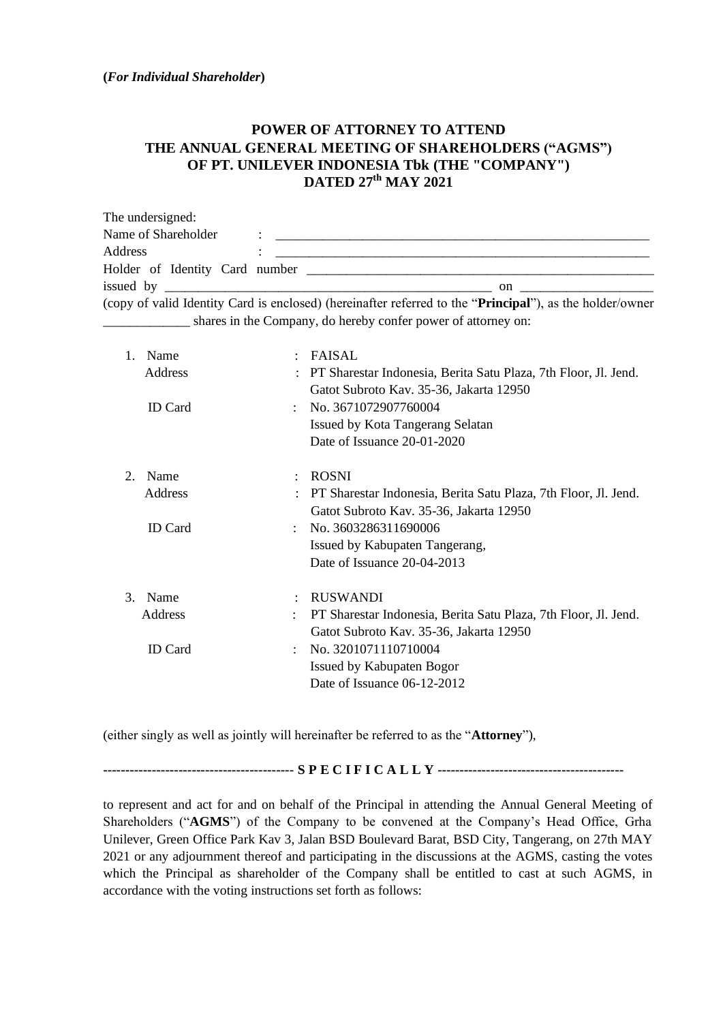## **POWER OF ATTORNEY TO ATTEND THE ANNUAL GENERAL MEETING OF SHAREHOLDERS ("AGMS") OF PT. UNILEVER INDONESIA Tbk (THE "COMPANY") DATED 27 th MAY 2021**

| The undersigned:                     |                                                                                                                   |
|--------------------------------------|-------------------------------------------------------------------------------------------------------------------|
| Name of Shareholder                  |                                                                                                                   |
| Address                              |                                                                                                                   |
|                                      | Holder of Identity Card number                                                                                    |
| issued by $\overline{\phantom{a}}$   |                                                                                                                   |
|                                      | (copy of valid Identity Card is enclosed) (hereinafter referred to the " <b>Principal</b> "), as the holder/owner |
| <u> 1986 - Jan Samman, politik a</u> | shares in the Company, do hereby confer power of attorney on:                                                     |

| $\mathbf{1}$ .              | Name<br>Address<br><b>ID</b> Card | ÷                    | FAISAL<br>PT Sharestar Indonesia, Berita Satu Plaza, 7th Floor, Jl. Jend.<br>Gatot Subroto Kav. 35-36, Jakarta 12950<br>: No. $3671072907760004$<br>Issued by Kota Tangerang Selatan<br>Date of Issuance 20-01-2020              |
|-----------------------------|-----------------------------------|----------------------|----------------------------------------------------------------------------------------------------------------------------------------------------------------------------------------------------------------------------------|
| $\mathcal{D}_{\mathcal{L}}$ | Name<br>Address<br><b>ID</b> Card | $\ddot{\phantom{a}}$ | <b>ROSNI</b><br>PT Sharestar Indonesia, Berita Satu Plaza, 7th Floor, Jl. Jend.<br>Gatot Subroto Kav. 35-36, Jakarta 12950<br>$\therefore$ No. 3603286311690006<br>Issued by Kabupaten Tangerang,<br>Date of Issuance 20-04-2013 |
| 3.                          | Name<br>Address<br><b>ID</b> Card | ÷                    | <b>RUSWANDI</b><br>PT Sharestar Indonesia, Berita Satu Plaza, 7th Floor, Jl. Jend.<br>Gatot Subroto Kav. 35-36, Jakarta 12950<br>No. 3201071110710004<br>Issued by Kabupaten Bogor<br>Date of Issuance 06-12-2012                |

(either singly as well as jointly will hereinafter be referred to as the "**Attorney**"),

**------------------------------------------- S P E C I F I C A L L Y ------------------------------------------**

to represent and act for and on behalf of the Principal in attending the Annual General Meeting of Shareholders ("**AGMS**") of the Company to be convened at the Company's Head Office, Grha Unilever, Green Office Park Kav 3, Jalan BSD Boulevard Barat, BSD City, Tangerang, on 27th MAY 2021 or any adjournment thereof and participating in the discussions at the AGMS, casting the votes which the Principal as shareholder of the Company shall be entitled to cast at such AGMS, in accordance with the voting instructions set forth as follows: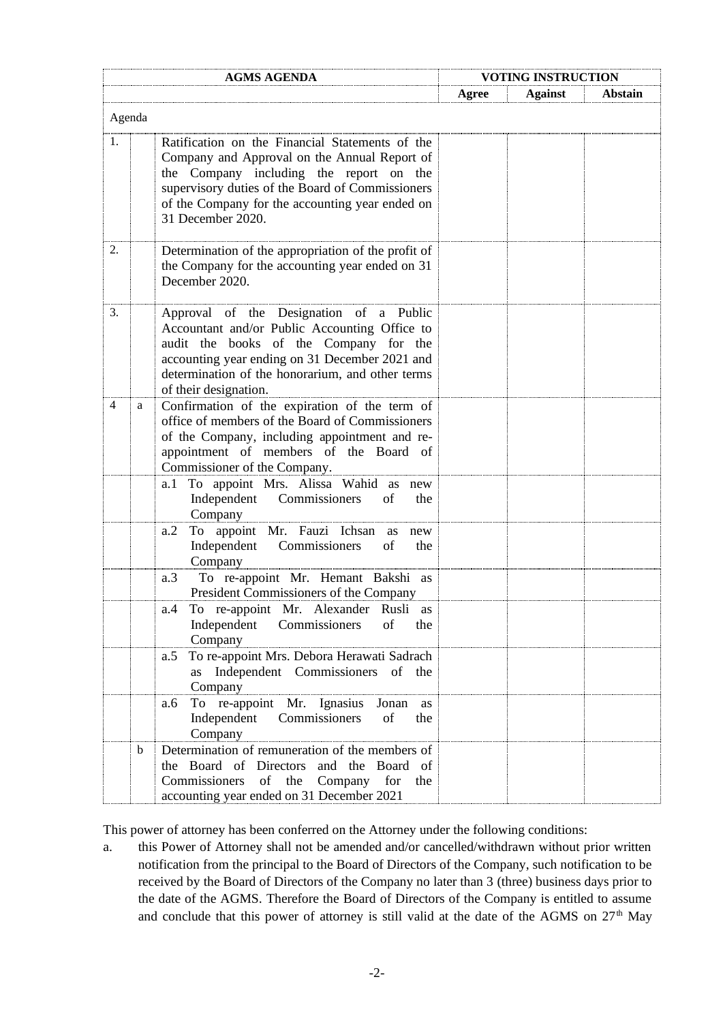|    |        | <b>AGMS AGENDA</b>                                                                                                                                                                                                                                                     | <b>VOTING INSTRUCTION</b> |                |                |  |
|----|--------|------------------------------------------------------------------------------------------------------------------------------------------------------------------------------------------------------------------------------------------------------------------------|---------------------------|----------------|----------------|--|
|    |        |                                                                                                                                                                                                                                                                        | Agree                     | <b>Against</b> | <b>Abstain</b> |  |
|    | Agenda |                                                                                                                                                                                                                                                                        |                           |                |                |  |
| 1. |        | Ratification on the Financial Statements of the<br>Company and Approval on the Annual Report of<br>the Company including the report on the<br>supervisory duties of the Board of Commissioners<br>of the Company for the accounting year ended on<br>31 December 2020. |                           |                |                |  |
| 2. |        | Determination of the appropriation of the profit of<br>the Company for the accounting year ended on 31<br>December 2020.                                                                                                                                               |                           |                |                |  |
| 3. |        | Approval of the Designation of a Public<br>Accountant and/or Public Accounting Office to<br>audit the books of the Company for the<br>accounting year ending on 31 December 2021 and<br>determination of the honorarium, and other terms<br>of their designation.      |                           |                |                |  |
| 4  | a      | Confirmation of the expiration of the term of<br>office of members of the Board of Commissioners<br>of the Company, including appointment and re-<br>appointment of members of the Board of<br>Commissioner of the Company.                                            |                           |                |                |  |
|    |        | To appoint Mrs. Alissa Wahid as new<br>a. 1<br>Independent Commissioners<br>of<br>the<br>Company                                                                                                                                                                       |                           |                |                |  |
|    |        | To appoint Mr. Fauzi Ichsan as<br>a.2<br>new<br>Independent Commissioners<br>of<br>the<br>Company                                                                                                                                                                      |                           |                |                |  |
|    |        | a.3<br>To re-appoint Mr. Hemant Bakshi as<br>President Commissioners of the Company                                                                                                                                                                                    |                           |                |                |  |
|    |        | To re-appoint Mr. Alexander Rusli as<br>a.4<br>Independent Commissioners of<br>the<br>Company                                                                                                                                                                          |                           |                |                |  |
|    |        | To re-appoint Mrs. Debora Herawati Sadrach<br>a.5<br>as Independent Commissioners of the<br>Company                                                                                                                                                                    |                           |                |                |  |
|    |        | To re-appoint Mr. Ignasius Jonan as<br>a.6<br>Independent Commissioners of<br>the<br>Company                                                                                                                                                                           |                           |                |                |  |
|    | b      | Determination of remuneration of the members of<br>the Board of Directors and the Board of<br>Commissioners of the Company<br>for<br>the<br>accounting year ended on 31 December 2021                                                                                  |                           |                |                |  |

This power of attorney has been conferred on the Attorney under the following conditions:

a. this Power of Attorney shall not be amended and/or cancelled/withdrawn without prior written notification from the principal to the Board of Directors of the Company, such notification to be received by the Board of Directors of the Company no later than 3 (three) business days prior to the date of the AGMS. Therefore the Board of Directors of the Company is entitled to assume and conclude that this power of attorney is still valid at the date of the AGMS on  $27<sup>th</sup>$  May